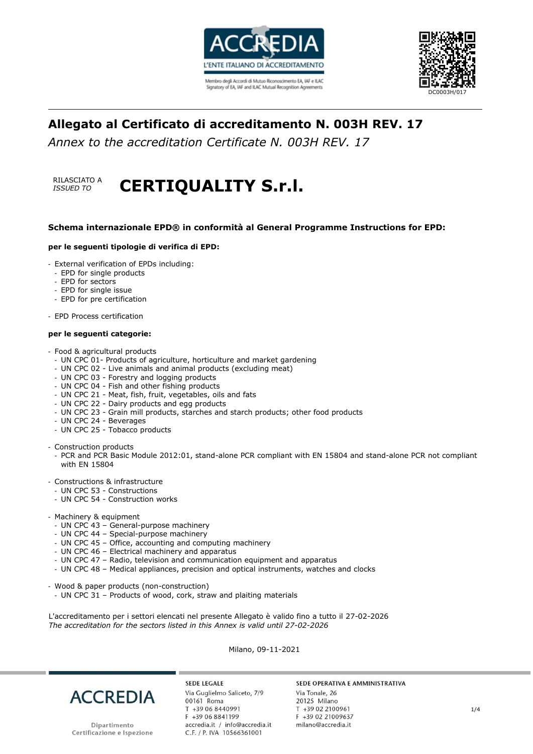



# **Allegato al Certificato di accreditamento N. 003H REV. 17**

*Annex to the accreditation Certificate N. 003H REV. 17*

## RILASCIATO A **RILASCIATO A CERTIQUALITY S.r.l.**

### **Schema internazionale EPD® in conformità al General Programme Instructions for EPD:**

### **per le seguenti tipologie di verifica di EPD:**

- External verification of EPDs including:
- EPD for single products
- EPD for sectors
- EPD for single issue
- EPD for pre certification
- EPD Process certification

### **per le seguenti categorie:**

- Food & agricultural products
- UN CPC 01- Products of agriculture, horticulture and market gardening
- UN CPC 02 Live animals and animal products (excluding meat)
- UN CPC 03 Forestry and logging products
- UN CPC 04 Fish and other fishing products
- UN CPC 21 Meat, fish, fruit, vegetables, oils and fats
- UN CPC 22 Dairy products and egg products
- UN CPC 23 Grain mill products, starches and starch products; other food products
- UN CPC 24 Beverages
- UN CPC 25 Tobacco products

- Construction products

- PCR and PCR Basic Module 2012:01, stand-alone PCR compliant with EN 15804 and stand-alone PCR not compliant with EN 15804
- Constructions & infrastructure
	- UN CPC 53 Constructions
	- UN CPC 54 Construction works
- Machinery & equipment
	- UN CPC 43 General-purpose machinery
	- UN CPC 44 Special-purpose machinery
	- UN CPC 45 Office, accounting and computing machinery
	- UN CPC 46 Electrical machinery and apparatus
	- UN CPC 47 Radio, television and communication equipment and apparatus
	- UN CPC 48 Medical appliances, precision and optical instruments, watches and clocks
- Wood & paper products (non-construction)
	- UN CPC 31 Products of wood, cork, straw and plaiting materials

L'accreditamento per i settori elencati nel presente Allegato è valido fino a tutto il 27-02-2026 *The accreditation for the sectors listed in this Annex is valid until 27-02-2026*

Milano, 09-11-2021



Dipartimento Certificazione e Ispezione

**SEDE LEGALE** Via Guglielmo Saliceto, 7/9 00161 Roma T +39 06 8440991 F +39 06 8841199 accredia.it / info@accredia.it C.F. / P. IVA 10566361001

### SEDE OPERATIVA E AMMINISTRATIVA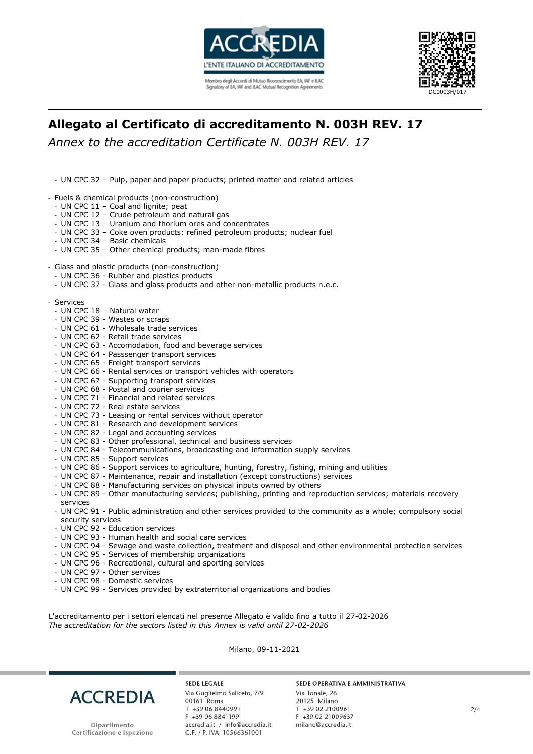



# **Allegato al Certificato di accreditamento N. 003H REV. 17**

*Annex to the accreditation Certificate N. 003H REV. 17*

- UN CPC 32 – Pulp, paper and paper products; printed matter and related articles

- Fuels & chemical products (non-construction)
- UN CPC 11 Coal and lignite; peat
- UN CPC 12 Crude petroleum and natural gas
- UN CPC 13 Uranium and thorium ores and concentrates
- UN CPC 33 Coke oven products; refined petroleum products; nuclear fuel
- UN CPC 34 Basic chemicals
- UN CPC 35 Other chemical products; man-made fibres
- Glass and plastic products (non-construction)
	- UN CPC 36 Rubber and plastics products
	- UN CPC 37 Glass and glass products and other non-metallic products n.e.c.
- Services
	- UN CPC 18 Natural water
	- UN CPC 39 Wastes or scraps
	- UN CPC 61 Wholesale trade services
	- UN CPC 62 Retail trade services
	- UN CPC 63 Accomodation, food and beverage services
	- UN CPC 64 Passsenger transport services
	- UN CPC 65 Freight transport services
	- UN CPC 66 Rental services or transport vehicles with operators
	- UN CPC 67 Supporting transport services
	- UN CPC 68 Postal and courier services
	- UN CPC 71 Financial and related services
	- UN CPC 72 Real estate services
	- UN CPC 73 Leasing or rental services without operator
	- UN CPC 81 Research and development services
	- UN CPC 82 Legal and accounting services
	- UN CPC 83 Other professional, technical and business services
	- UN CPC 84 Telecommunications, broadcasting and information supply services
	- UN CPC 85 Support services
	- UN CPC 86 Support services to agriculture, hunting, forestry, fishing, mining and utilities
	- UN CPC 87 Maintenance, repair and installation (except constructions) services
	- UN CPC 88 Manufacturing services on physical inputs owned by others
	- UN CPC 89 Other manufacturing services; publishing, printing and reproduction services; materials recovery services
	- UN CPC 91 Public administration and other services provided to the community as a whole; compulsory social security services
	- UN CPC 92 Education services
	- UN CPC 93 Human health and social care services
	- UN CPC 94 Sewage and waste collection, treatment and disposal and other environmental protection services
	- UN CPC 95 Services of membership organizations
	- UN CPC 96 Recreational, cultural and sporting services
	- UN CPC 97 Other services
	- UN CPC 98 Domestic services
	- UN CPC 99 Services provided by extraterritorial organizations and bodies

L'accreditamento per i settori elencati nel presente Allegato è valido fino a tutto il 27-02-2026 *The accreditation for the sectors listed in this Annex is valid until 27-02-2026*

Milano, 09-11-2021



**SEDE LEGALE** Via Guglielmo Saliceto, 7/9 00161 Roma T +39 06 8440991 F +39 06 8841199 accredia.it / info@accredia.it C.F. / P. IVA 10566361001

#### SEDE OPERATIVA E AMMINISTRATIVA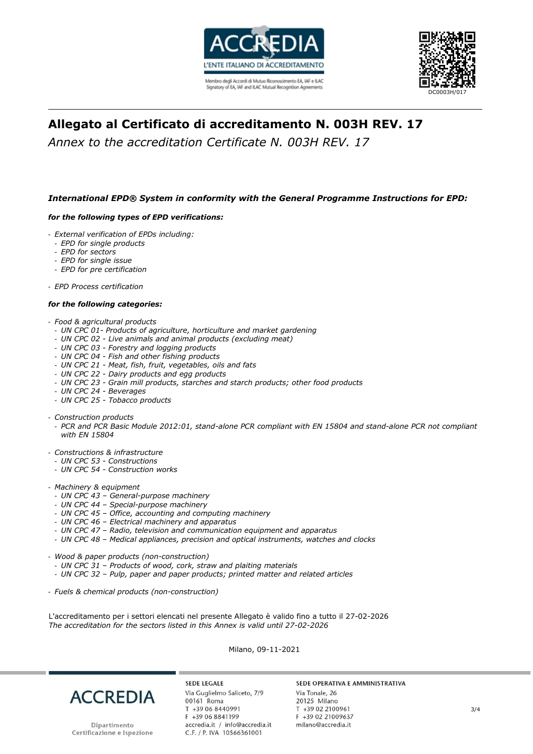



# **Allegato al Certificato di accreditamento N. 003H REV. 17**

*Annex to the accreditation Certificate N. 003H REV. 17*

## *International EPD® System in conformity with the General Programme Instructions for EPD:*

### *for the following types of EPD verifications:*

- *External verification of EPDs including:*
	- *EPD for single products*
	- *EPD for sectors*
	- *EPD for single issue*
	- *EPD for pre certification*

- *EPD Process certification*

### *for the following categories:*

- *Food & agricultural products*
- *UN CPC 01- Products of agriculture, horticulture and market gardening*
- *UN CPC 02 - Live animals and animal products (excluding meat)*
- *UN CPC 03 - Forestry and logging products*
- *UN CPC 04 - Fish and other fishing products*
- *UN CPC 21 - Meat, fish, fruit, vegetables, oils and fats*
- *UN CPC 22 - Dairy products and egg products*
- *UN CPC 23 - Grain mill products, starches and starch products; other food products*
- *UN CPC 24 - Beverages*
- *UN CPC 25 - Tobacco products*
- *Construction products*
	- *PCR and PCR Basic Module 2012:01, stand-alone PCR compliant with EN 15804 and stand-alone PCR not compliant with EN 15804*
- *Constructions & infrastructure*
	- *UN CPC 53 - Constructions*
	- *UN CPC 54 - Construction works*
- *Machinery & equipment*
	- *UN CPC 43 – General-purpose machinery*
	- *UN CPC 44 – Special-purpose machinery*
	- *UN CPC 45 – Office, accounting and computing machinery*
	- *UN CPC 46 – Electrical machinery and apparatus*
	- *UN CPC 47 – Radio, television and communication equipment and apparatus*
	- *UN CPC 48 – Medical appliances, precision and optical instruments, watches and clocks*
- *Wood & paper products (non-construction)*
	- *UN CPC 31 – Products of wood, cork, straw and plaiting materials*
	- *UN CPC 32 – Pulp, paper and paper products; printed matter and related articles*
- *Fuels & chemical products (non-construction)*

L'accreditamento per i settori elencati nel presente Allegato è valido fino a tutto il 27-02-2026 *The accreditation for the sectors listed in this Annex is valid until 27-02-2026*

Milano, 09-11-2021



**SEDE LEGALE** Via Guglielmo Saliceto, 7/9 00161 Roma T +39 06 8440991 F +39 06 8841199 accredia.it / info@accredia.it<br>C.F. / P. IVA 10566361001

#### SEDE OPERATIVA E AMMINISTRATIVA